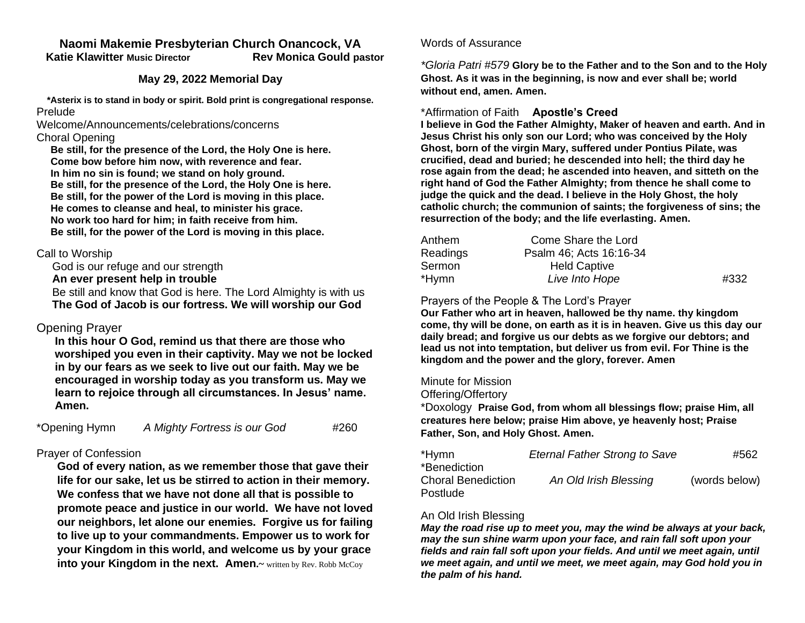## **Naomi Makemie Presbyterian Church Onancock, VA Katie Klawitter Music Director Rev Monica Gould pastor**

#### **May 29, 2022 Memorial Day**

**\*Asterix is to stand in body or spirit. Bold print is congregational response.** Prelude

Welcome/Announcements/celebrations/concerns Choral Opening

 **Be still, for the presence of the Lord, the Holy One is here. Come bow before him now, with reverence and fear. In him no sin is found; we stand on holy ground. Be still, for the presence of the Lord, the Holy One is here. Be still, for the power of the Lord is moving in this place. He comes to cleanse and heal, to minister his grace. No work too hard for him; in faith receive from him. Be still, for the power of the Lord is moving in this place.**

#### Call to Worship

God is our refuge and our strength

 **An ever present help in trouble**

 Be still and know that God is here. The Lord Almighty is with us  **The God of Jacob is our fortress. We will worship our God**

# Opening Prayer

**In this hour O God, remind us that there are those who worshiped you even in their captivity. May we not be locked in by our fears as we seek to live out our faith. May we be encouraged in worship today as you transform us. May we learn to rejoice through all circumstances. In Jesus' name. Amen.** 

\*Opening Hymn *A Mighty Fortress is our God* #260

## Prayer of Confession

**God of every nation, as we remember those that gave their life for our sake, let us be stirred to action in their memory. We confess that we have not done all that is possible to promote peace and justice in our world. We have not loved our neighbors, let alone our enemies. Forgive us for failing to live up to your commandments. Empower us to work for your Kingdom in this world, and welcome us by your grace into your Kingdom in the next. Amen.~** written by Rev. Robb McCoy

#### Words of Assurance

*\*Gloria Patri #579* **Glory be to the Father and to the Son and to the Holy Ghost. As it was in the beginning, is now and ever shall be; world without end, amen. Amen.** 

## \*Affirmation of Faith **Apostle's Creed**

**I believe in God the Father Almighty, Maker of heaven and earth. And in Jesus Christ his only son our Lord; who was conceived by the Holy Ghost, born of the virgin Mary, suffered under Pontius Pilate, was crucified, dead and buried; he descended into hell; the third day he rose again from the dead; he ascended into heaven, and sitteth on the right hand of God the Father Almighty; from thence he shall come to judge the quick and the dead. I believe in the Holy Ghost, the holy catholic church; the communion of saints; the forgiveness of sins; the resurrection of the body; and the life everlasting. Amen.**

| Anthem   | Come Share the Lord     |      |
|----------|-------------------------|------|
| Readings | Psalm 46; Acts 16:16-34 |      |
| Sermon   | <b>Held Captive</b>     |      |
| *Hymn    | Live Into Hope          | #332 |

# Prayers of the People & The Lord's Prayer

**Our Father who art in heaven, hallowed be thy name. thy kingdom come, thy will be done, on earth as it is in heaven. Give us this day our daily bread; and forgive us our debts as we forgive our debtors; and lead us not into temptation, but deliver us from evil. For Thine is the kingdom and the power and the glory, forever. Amen**

#### Minute for Mission

#### Offering/Offertory

\*Doxology **Praise God, from whom all blessings flow; praise Him, all creatures here below; praise Him above, ye heavenly host; Praise Father, Son, and Holy Ghost. Amen.** 

| *Hymn                     | <b>Eternal Father Strong to Save</b> | #562          |
|---------------------------|--------------------------------------|---------------|
| *Benediction              |                                      |               |
| <b>Choral Benediction</b> | An Old Irish Blessing                | (words below) |
| Postlude                  |                                      |               |

## An Old Irish Blessing

*May the road rise up to meet you, may the wind be always at your back, may the sun shine warm upon your face, and rain fall soft upon your fields and rain fall soft upon your fields. And until we meet again, until we meet again, and until we meet, we meet again, may God hold you in the palm of his hand.*